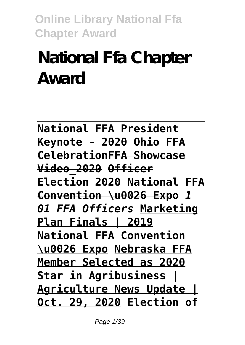# **National Ffa Chapter Award**

**National FFA President Keynote - 2020 Ohio FFA CelebrationFFA Showcase Video\_2020 Officer Election 2020 National FFA Convention \u0026 Expo** *1 01 FFA Officers* **Marketing Plan Finals | 2019 National FFA Convention \u0026 Expo Nebraska FFA Member Selected as 2020 Star in Agribusiness | Agriculture News Update | Oct. 29, 2020 Election of**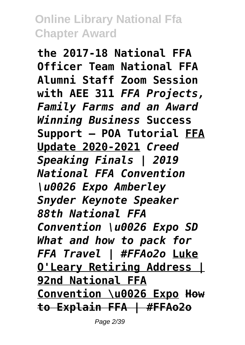**the 2017-18 National FFA Officer Team National FFA Alumni Staff Zoom Session with AEE 311** *FFA Projects, Family Farms and an Award Winning Business* **Success Support — POA Tutorial FFA Update 2020-2021** *Creed Speaking Finals | 2019 National FFA Convention \u0026 Expo Amberley Snyder Keynote Speaker 88th National FFA Convention \u0026 Expo SD What and how to pack for FFA Travel | #FFAo2o* **Luke O'Leary Retiring Address | 92nd National FFA Convention \u0026 Expo How to Explain FFA | #FFAo2o**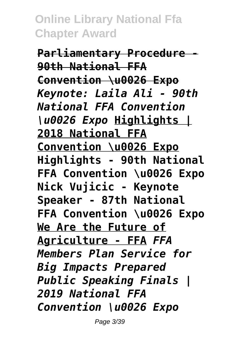**Parliamentary Procedure - 90th National FFA Convention \u0026 Expo** *Keynote: Laila Ali - 90th National FFA Convention \u0026 Expo* **Highlights | 2018 National FFA Convention \u0026 Expo Highlights - 90th National FFA Convention \u0026 Expo Nick Vujicic - Keynote Speaker - 87th National FFA Convention \u0026 Expo We Are the Future of Agriculture - FFA** *FFA Members Plan Service for Big Impacts Prepared Public Speaking Finals | 2019 National FFA Convention \u0026 Expo*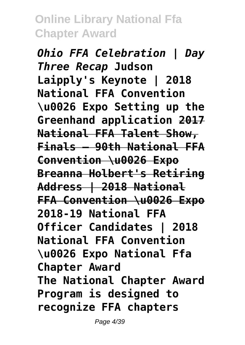*Ohio FFA Celebration | Day Three Recap* **Judson Laipply's Keynote | 2018 National FFA Convention \u0026 Expo Setting up the Greenhand application 2017 National FFA Talent Show, Finals – 90th National FFA Convention \u0026 Expo Breanna Holbert's Retiring Address | 2018 National FFA Convention \u0026 Expo 2018-19 National FFA Officer Candidates | 2018 National FFA Convention \u0026 Expo National Ffa Chapter Award The National Chapter Award Program is designed to recognize FFA chapters**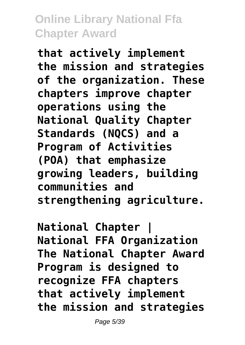**that actively implement the mission and strategies of the organization. These chapters improve chapter operations using the National Quality Chapter Standards (NQCS) and a Program of Activities (POA) that emphasize growing leaders, building communities and strengthening agriculture.**

**National Chapter | National FFA Organization The National Chapter Award Program is designed to recognize FFA chapters that actively implement the mission and strategies**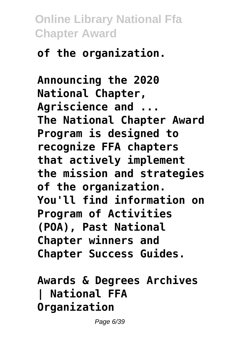# **of the organization.**

**Announcing the 2020 National Chapter, Agriscience and ... The National Chapter Award Program is designed to recognize FFA chapters that actively implement the mission and strategies of the organization. You'll find information on Program of Activities (POA), Past National Chapter winners and Chapter Success Guides.**

# **Awards & Degrees Archives | National FFA Organization**

Page 6/39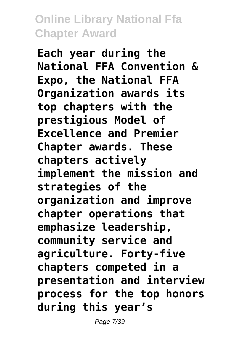**Each year during the National FFA Convention & Expo, the National FFA Organization awards its top chapters with the prestigious Model of Excellence and Premier Chapter awards. These chapters actively implement the mission and strategies of the organization and improve chapter operations that emphasize leadership, community service and agriculture. Forty-five chapters competed in a presentation and interview process for the top honors during this year's**

Page 7/39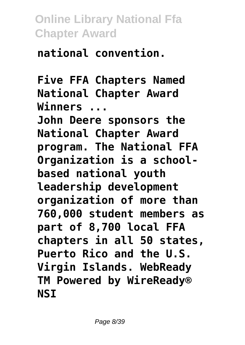**national convention.**

**Five FFA Chapters Named National Chapter Award Winners ...**

**John Deere sponsors the National Chapter Award program. The National FFA Organization is a schoolbased national youth leadership development organization of more than 760,000 student members as part of 8,700 local FFA chapters in all 50 states, Puerto Rico and the U.S. Virgin Islands. WebReady TM Powered by WireReady® NSI**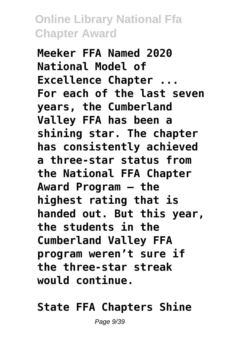**Meeker FFA Named 2020 National Model of Excellence Chapter ... For each of the last seven years, the Cumberland Valley FFA has been a shining star. The chapter has consistently achieved a three-star status from the National FFA Chapter Award Program — the highest rating that is handed out. But this year, the students in the Cumberland Valley FFA program weren't sure if the three-star streak would continue.**

#### **State FFA Chapters Shine**

Page 9/39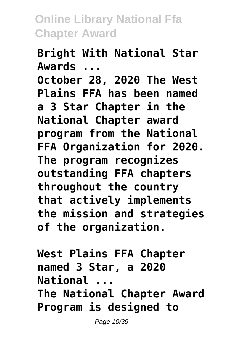**Bright With National Star Awards ... October 28, 2020 The West Plains FFA has been named a 3 Star Chapter in the National Chapter award program from the National FFA Organization for 2020. The program recognizes outstanding FFA chapters throughout the country that actively implements the mission and strategies of the organization.**

**West Plains FFA Chapter named 3 Star, a 2020 National ... The National Chapter Award Program is designed to**

Page 10/39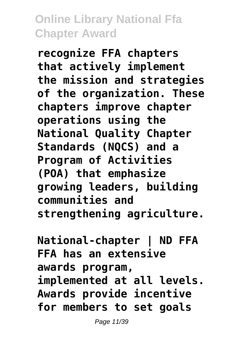**recognize FFA chapters that actively implement the mission and strategies of the organization. These chapters improve chapter operations using the National Quality Chapter Standards (NQCS) and a Program of Activities (POA) that emphasize growing leaders, building communities and strengthening agriculture.**

**National-chapter | ND FFA FFA has an extensive awards program, implemented at all levels. Awards provide incentive for members to set goals**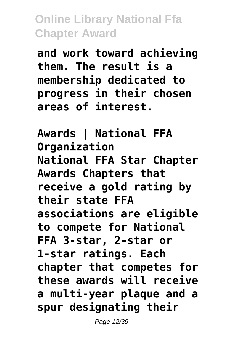**and work toward achieving them. The result is a membership dedicated to progress in their chosen areas of interest.**

**Awards | National FFA Organization National FFA Star Chapter Awards Chapters that receive a gold rating by their state FFA associations are eligible to compete for National FFA 3-star, 2-star or 1-star ratings. Each chapter that competes for these awards will receive a multi-year plaque and a spur designating their**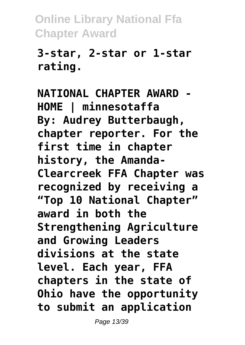#### **3-star, 2-star or 1-star rating.**

**NATIONAL CHAPTER AWARD - HOME | minnesotaffa By: Audrey Butterbaugh, chapter reporter. For the first time in chapter history, the Amanda-Clearcreek FFA Chapter was recognized by receiving a "Top 10 National Chapter" award in both the Strengthening Agriculture and Growing Leaders divisions at the state level. Each year, FFA chapters in the state of Ohio have the opportunity to submit an application**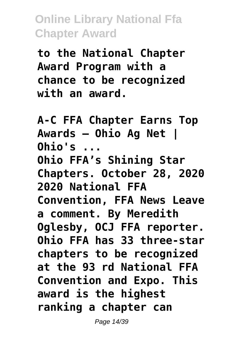**to the National Chapter Award Program with a chance to be recognized with an award.**

**A-C FFA Chapter Earns Top Awards – Ohio Ag Net | Ohio's ... Ohio FFA's Shining Star Chapters. October 28, 2020 2020 National FFA Convention, FFA News Leave a comment. By Meredith Oglesby, OCJ FFA reporter. Ohio FFA has 33 three-star chapters to be recognized at the 93 rd National FFA Convention and Expo. This award is the highest ranking a chapter can**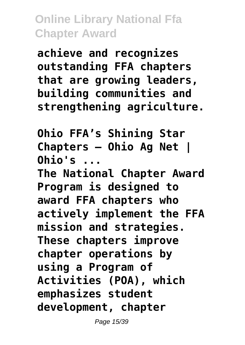**achieve and recognizes outstanding FFA chapters that are growing leaders, building communities and strengthening agriculture.**

**Ohio FFA's Shining Star Chapters – Ohio Ag Net | Ohio's ...**

**The National Chapter Award Program is designed to award FFA chapters who actively implement the FFA mission and strategies. These chapters improve chapter operations by using a Program of Activities (POA), which emphasizes student development, chapter**

Page 15/39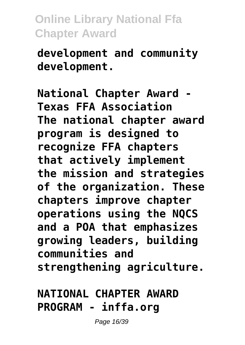**development and community development.**

**National Chapter Award - Texas FFA Association The national chapter award program is designed to recognize FFA chapters that actively implement the mission and strategies of the organization. These chapters improve chapter operations using the NQCS and a POA that emphasizes growing leaders, building communities and strengthening agriculture.**

# **NATIONAL CHAPTER AWARD PROGRAM - inffa.org**

Page 16/39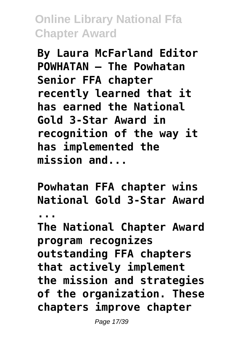**By Laura McFarland Editor POWHATAN – The Powhatan Senior FFA chapter recently learned that it has earned the National Gold 3-Star Award in recognition of the way it has implemented the mission and...**

**Powhatan FFA chapter wins National Gold 3-Star Award ... The National Chapter Award program recognizes outstanding FFA chapters that actively implement the mission and strategies of the organization. These chapters improve chapter**

Page 17/39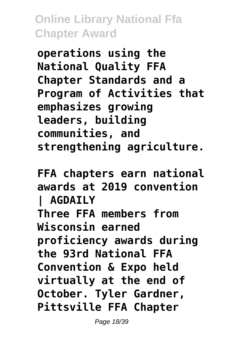**operations using the National Quality FFA Chapter Standards and a Program of Activities that emphasizes growing leaders, building communities, and strengthening agriculture.**

**FFA chapters earn national awards at 2019 convention | AGDAILY Three FFA members from Wisconsin earned proficiency awards during the 93rd National FFA Convention & Expo held virtually at the end of October. Tyler Gardner, Pittsville FFA Chapter**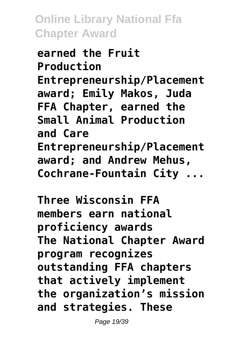**earned the Fruit Production Entrepreneurship/Placement award; Emily Makos, Juda FFA Chapter, earned the Small Animal Production and Care Entrepreneurship/Placement award; and Andrew Mehus, Cochrane-Fountain City ...**

**Three Wisconsin FFA members earn national proficiency awards The National Chapter Award program recognizes outstanding FFA chapters that actively implement the organization's mission and strategies. These**

Page 19/39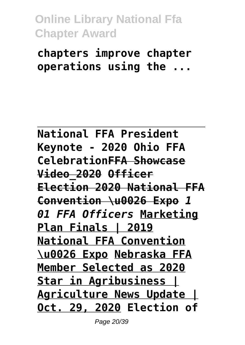**chapters improve chapter operations using the ...**

**National FFA President Keynote - 2020 Ohio FFA CelebrationFFA Showcase Video\_2020 Officer Election 2020 National FFA Convention \u0026 Expo** *1 01 FFA Officers* **Marketing Plan Finals | 2019 National FFA Convention \u0026 Expo Nebraska FFA Member Selected as 2020 Star in Agribusiness | Agriculture News Update | Oct. 29, 2020 Election of**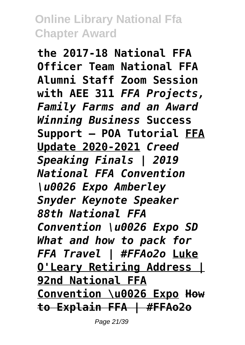**the 2017-18 National FFA Officer Team National FFA Alumni Staff Zoom Session with AEE 311** *FFA Projects, Family Farms and an Award Winning Business* **Success Support — POA Tutorial FFA Update 2020-2021** *Creed Speaking Finals | 2019 National FFA Convention \u0026 Expo Amberley Snyder Keynote Speaker 88th National FFA Convention \u0026 Expo SD What and how to pack for FFA Travel | #FFAo2o* **Luke O'Leary Retiring Address | 92nd National FFA Convention \u0026 Expo How to Explain FFA | #FFAo2o**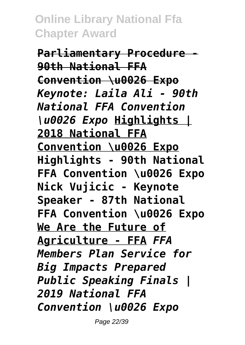**Parliamentary Procedure - 90th National FFA Convention \u0026 Expo** *Keynote: Laila Ali - 90th National FFA Convention \u0026 Expo* **Highlights | 2018 National FFA Convention \u0026 Expo Highlights - 90th National FFA Convention \u0026 Expo Nick Vujicic - Keynote Speaker - 87th National FFA Convention \u0026 Expo We Are the Future of Agriculture - FFA** *FFA Members Plan Service for Big Impacts Prepared Public Speaking Finals | 2019 National FFA Convention \u0026 Expo*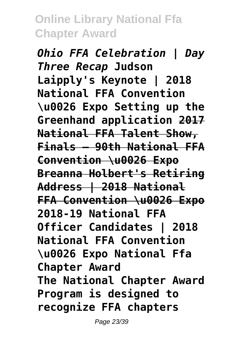*Ohio FFA Celebration | Day Three Recap* **Judson Laipply's Keynote | 2018 National FFA Convention \u0026 Expo Setting up the Greenhand application 2017 National FFA Talent Show, Finals – 90th National FFA Convention \u0026 Expo Breanna Holbert's Retiring Address | 2018 National FFA Convention \u0026 Expo 2018-19 National FFA Officer Candidates | 2018 National FFA Convention \u0026 Expo National Ffa Chapter Award The National Chapter Award Program is designed to recognize FFA chapters**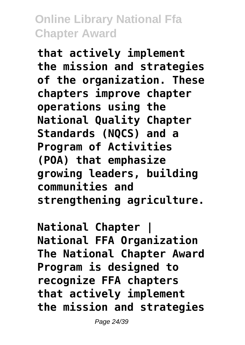**that actively implement the mission and strategies of the organization. These chapters improve chapter operations using the National Quality Chapter Standards (NQCS) and a Program of Activities (POA) that emphasize growing leaders, building communities and strengthening agriculture.**

**National Chapter | National FFA Organization The National Chapter Award Program is designed to recognize FFA chapters that actively implement the mission and strategies**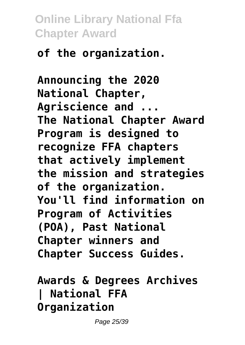# **of the organization.**

**Announcing the 2020 National Chapter, Agriscience and ... The National Chapter Award Program is designed to recognize FFA chapters that actively implement the mission and strategies of the organization. You'll find information on Program of Activities (POA), Past National Chapter winners and Chapter Success Guides.**

# **Awards & Degrees Archives | National FFA Organization**

Page 25/39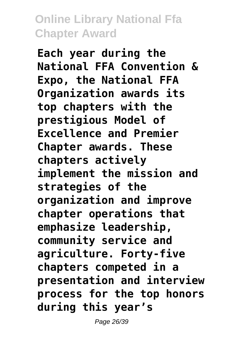**Each year during the National FFA Convention & Expo, the National FFA Organization awards its top chapters with the prestigious Model of Excellence and Premier Chapter awards. These chapters actively implement the mission and strategies of the organization and improve chapter operations that emphasize leadership, community service and agriculture. Forty-five chapters competed in a presentation and interview process for the top honors during this year's**

Page 26/39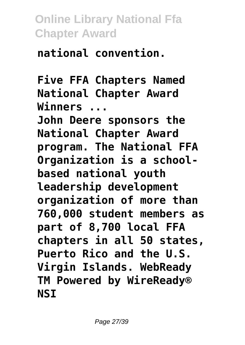**national convention.**

**Five FFA Chapters Named National Chapter Award Winners ...**

**John Deere sponsors the National Chapter Award program. The National FFA Organization is a schoolbased national youth leadership development organization of more than 760,000 student members as part of 8,700 local FFA chapters in all 50 states, Puerto Rico and the U.S. Virgin Islands. WebReady TM Powered by WireReady® NSI**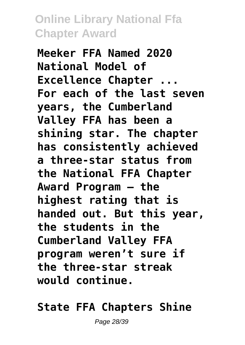**Meeker FFA Named 2020 National Model of Excellence Chapter ... For each of the last seven years, the Cumberland Valley FFA has been a shining star. The chapter has consistently achieved a three-star status from the National FFA Chapter Award Program — the highest rating that is handed out. But this year, the students in the Cumberland Valley FFA program weren't sure if the three-star streak would continue.**

#### **State FFA Chapters Shine**

Page 28/39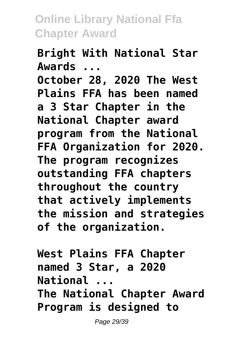**Bright With National Star Awards ... October 28, 2020 The West Plains FFA has been named a 3 Star Chapter in the National Chapter award program from the National FFA Organization for 2020. The program recognizes outstanding FFA chapters throughout the country that actively implements the mission and strategies of the organization.**

**West Plains FFA Chapter named 3 Star, a 2020 National ... The National Chapter Award Program is designed to**

Page 29/39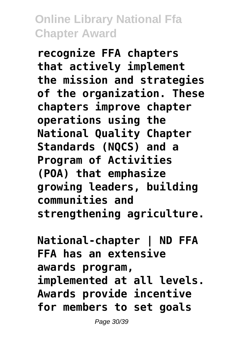**recognize FFA chapters that actively implement the mission and strategies of the organization. These chapters improve chapter operations using the National Quality Chapter Standards (NQCS) and a Program of Activities (POA) that emphasize growing leaders, building communities and strengthening agriculture.**

**National-chapter | ND FFA FFA has an extensive awards program, implemented at all levels. Awards provide incentive for members to set goals**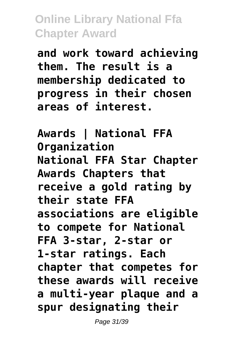**and work toward achieving them. The result is a membership dedicated to progress in their chosen areas of interest.**

**Awards | National FFA Organization National FFA Star Chapter Awards Chapters that receive a gold rating by their state FFA associations are eligible to compete for National FFA 3-star, 2-star or 1-star ratings. Each chapter that competes for these awards will receive a multi-year plaque and a spur designating their**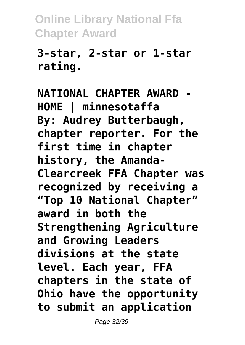#### **3-star, 2-star or 1-star rating.**

**NATIONAL CHAPTER AWARD - HOME | minnesotaffa By: Audrey Butterbaugh, chapter reporter. For the first time in chapter history, the Amanda-Clearcreek FFA Chapter was recognized by receiving a "Top 10 National Chapter" award in both the Strengthening Agriculture and Growing Leaders divisions at the state level. Each year, FFA chapters in the state of Ohio have the opportunity to submit an application**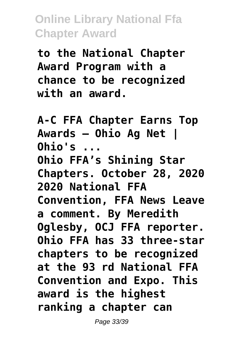**to the National Chapter Award Program with a chance to be recognized with an award.**

**A-C FFA Chapter Earns Top Awards – Ohio Ag Net | Ohio's ... Ohio FFA's Shining Star Chapters. October 28, 2020 2020 National FFA Convention, FFA News Leave a comment. By Meredith Oglesby, OCJ FFA reporter. Ohio FFA has 33 three-star chapters to be recognized at the 93 rd National FFA Convention and Expo. This award is the highest ranking a chapter can**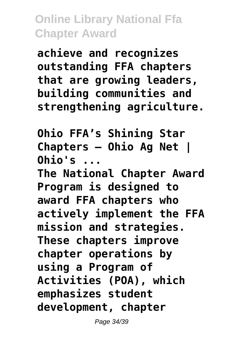**achieve and recognizes outstanding FFA chapters that are growing leaders, building communities and strengthening agriculture.**

**Ohio FFA's Shining Star Chapters – Ohio Ag Net | Ohio's ...**

**The National Chapter Award Program is designed to award FFA chapters who actively implement the FFA mission and strategies. These chapters improve chapter operations by using a Program of Activities (POA), which emphasizes student development, chapter**

Page 34/39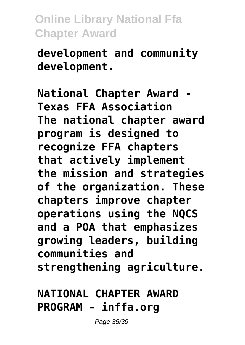**development and community development.**

**National Chapter Award - Texas FFA Association The national chapter award program is designed to recognize FFA chapters that actively implement the mission and strategies of the organization. These chapters improve chapter operations using the NQCS and a POA that emphasizes growing leaders, building communities and strengthening agriculture.**

# **NATIONAL CHAPTER AWARD PROGRAM - inffa.org**

Page 35/39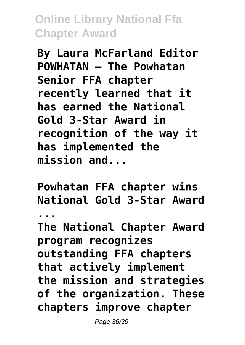**By Laura McFarland Editor POWHATAN – The Powhatan Senior FFA chapter recently learned that it has earned the National Gold 3-Star Award in recognition of the way it has implemented the mission and...**

**Powhatan FFA chapter wins National Gold 3-Star Award ... The National Chapter Award program recognizes outstanding FFA chapters that actively implement the mission and strategies of the organization. These chapters improve chapter** Page 36/39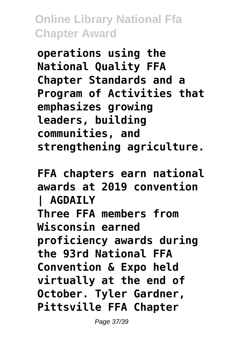**operations using the National Quality FFA Chapter Standards and a Program of Activities that emphasizes growing leaders, building communities, and strengthening agriculture.**

**FFA chapters earn national awards at 2019 convention | AGDAILY Three FFA members from Wisconsin earned proficiency awards during the 93rd National FFA Convention & Expo held virtually at the end of October. Tyler Gardner, Pittsville FFA Chapter**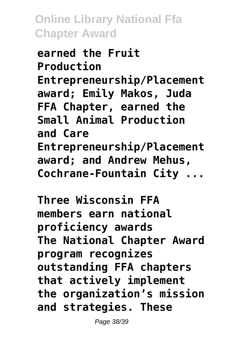**earned the Fruit Production Entrepreneurship/Placement award; Emily Makos, Juda FFA Chapter, earned the Small Animal Production and Care Entrepreneurship/Placement award; and Andrew Mehus, Cochrane-Fountain City ...**

**Three Wisconsin FFA members earn national proficiency awards The National Chapter Award program recognizes outstanding FFA chapters that actively implement the organization's mission and strategies. These**

Page 38/39